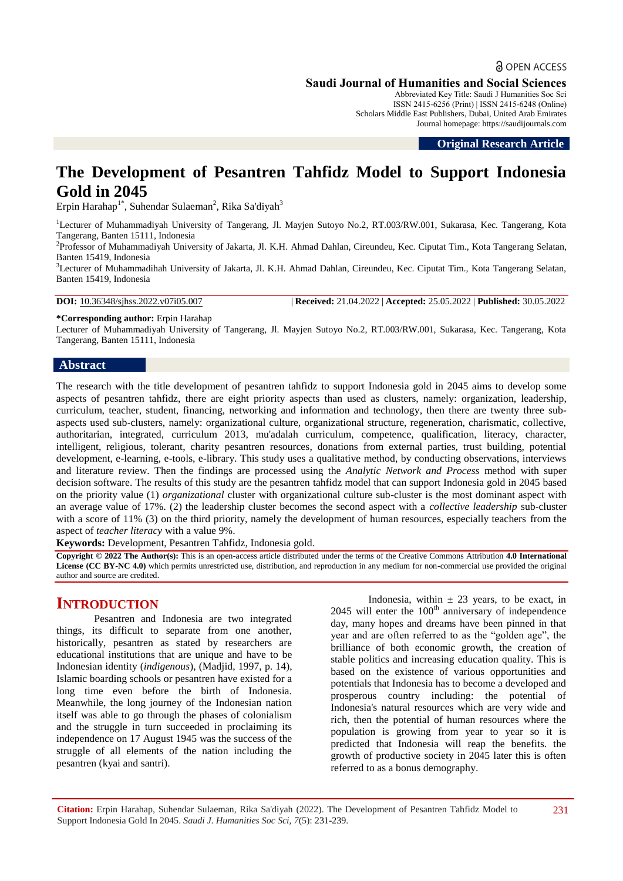Abbreviated Key Title: Saudi J Humanities Soc Sci ISSN 2415-6256 (Print) | ISSN 2415-6248 (Online) Scholars Middle East Publishers, Dubai, United Arab Emirates Journal homepage: https://saudijournals.com

**Original Research Article**

# **The Development of Pesantren Tahfidz Model to Support Indonesia Gold in 2045**

Erpin Harahap<sup>1\*</sup>, Suhendar Sulaeman<sup>2</sup>, Rika Sa'diyah<sup>3</sup>

<sup>1</sup>Lecturer of Muhammadiyah University of Tangerang, Jl. Mayjen Sutoyo No.2, RT.003/RW.001, Sukarasa, Kec. Tangerang, Kota Tangerang, Banten 15111, Indonesia

2 Professor of Muhammadiyah University of Jakarta, Jl. K.H. Ahmad Dahlan, Cireundeu, Kec. Ciputat Tim., Kota Tangerang Selatan, Banten 15419, Indonesia

<sup>3</sup>Lecturer of Muhammadihah University of Jakarta, Jl. K.H. Ahmad Dahlan, Cireundeu, Kec. Ciputat Tim., Kota Tangerang Selatan, Banten 15419, Indonesia

**DOI:** 10.36348/sjhss.2022.v07i05.007 | **Received:** 21.04.2022 | **Accepted:** 25.05.2022 | **Published:** 30.05.2022

**\*Corresponding author:** Erpin Harahap

Lecturer of Muhammadiyah University of Tangerang, Jl. Mayjen Sutoyo No.2, RT.003/RW.001, Sukarasa, Kec. Tangerang, Kota Tangerang, Banten 15111, Indonesia

#### **Abstract**

The research with the title development of pesantren tahfidz to support Indonesia gold in 2045 aims to develop some aspects of pesantren tahfidz, there are eight priority aspects than used as clusters, namely: organization, leadership, curriculum, teacher, student, financing, networking and information and technology, then there are twenty three subaspects used sub-clusters, namely: organizational culture, organizational structure, regeneration, charismatic, collective, authoritarian, integrated, curriculum 2013, mu'adalah curriculum, competence, qualification, literacy, character, intelligent, religious, tolerant, charity pesantren resources, donations from external parties, trust building, potential development, e-learning, e-tools, e-library. This study uses a qualitative method, by conducting observations, interviews and literature review. Then the findings are processed using the *Analytic Network and Process* method with super decision software. The results of this study are the pesantren tahfidz model that can support Indonesia gold in 2045 based on the priority value (1) *organizational* cluster with organizational culture sub-cluster is the most dominant aspect with an average value of 17%. (2) the leadership cluster becomes the second aspect with a *collective leadership* sub-cluster with a score of 11% (3) on the third priority, namely the development of human resources, especially teachers from the aspect of *teacher literacy* with a value 9%.

**Keywords:** Development, Pesantren Tahfidz, Indonesia gold.

**Copyright © 2022 The Author(s):** This is an open-access article distributed under the terms of the Creative Commons Attribution **4.0 International License (CC BY-NC 4.0)** which permits unrestricted use, distribution, and reproduction in any medium for non-commercial use provided the original author and source are credited.

## **INTRODUCTION**

Pesantren and Indonesia are two integrated things, its difficult to separate from one another, historically, pesantren as stated by researchers are educational institutions that are unique and have to be Indonesian identity (*indigenous*), (Madjid, 1997, p. 14), Islamic boarding schools or pesantren have existed for a long time even before the birth of Indonesia. Meanwhile, the long journey of the Indonesian nation itself was able to go through the phases of colonialism and the struggle in turn succeeded in proclaiming its independence on 17 August 1945 was the success of the struggle of all elements of the nation including the pesantren (kyai and santri).

Indonesia, within  $\pm$  23 years, to be exact, in  $2045$  will enter the  $100<sup>th</sup>$  anniversary of independence day, many hopes and dreams have been pinned in that year and are often referred to as the "golden age", the brilliance of both economic growth, the creation of stable politics and increasing education quality. This is based on the existence of various opportunities and potentials that Indonesia has to become a developed and prosperous country including: the potential of Indonesia's natural resources which are very wide and rich, then the potential of human resources where the population is growing from year to year so it is predicted that Indonesia will reap the benefits. the growth of productive society in 2045 later this is often referred to as a bonus demography.

**Citation:** Erpin Harahap, Suhendar Sulaeman, Rika Sa'diyah (2022). The Development of Pesantren Tahfidz Model to Support Indonesia Gold In 2045. *Saudi J. Humanities Soc Sci, 7*(5): 231-239.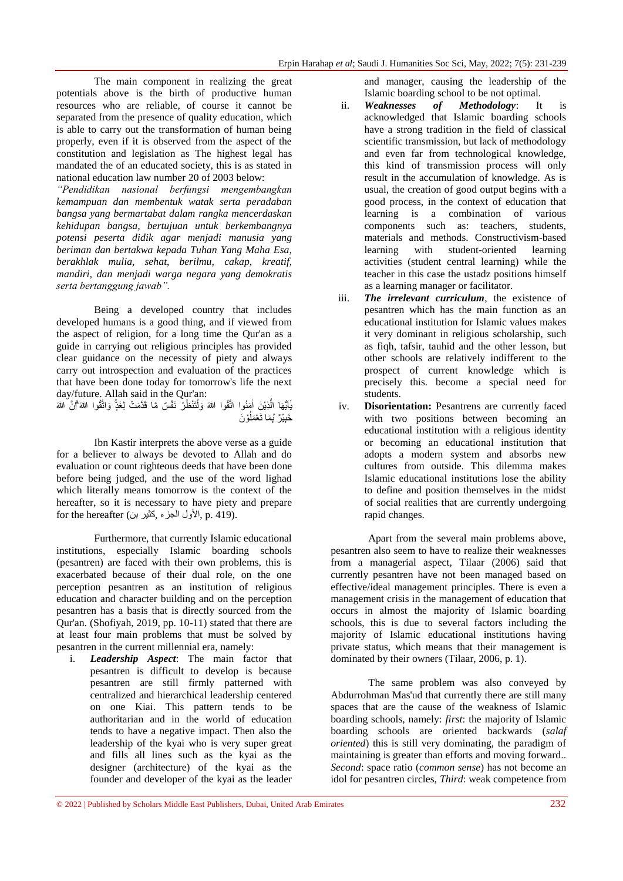The main component in realizing the great potentials above is the birth of productive human resources who are reliable, of course it cannot be separated from the presence of quality education, which is able to carry out the transformation of human being properly, even if it is observed from the aspect of the constitution and legislation as The highest legal has mandated the of an educated society, this is as stated in national education law number 20 of 2003 below:

*"Pendidikan nasional berfungsi mengembangkan kemampuan dan membentuk watak serta peradaban bangsa yang bermartabat dalam rangka mencerdaskan kehidupan bangsa, bertujuan untuk berkembangnya potensi peserta didik agar menjadi manusia yang beriman dan bertakwa kepada Tuhan Yang Maha Esa, berakhlak mulia, sehat, berilmu, cakap, kreatif, mandiri, dan menjadi warga negara yang demokratis serta bertanggung jawab".*

Being a developed country that includes developed humans is a good thing, and if viewed from the aspect of religion, for a long time the Qur'an as a guide in carrying out religious principles has provided clear guidance on the necessity of piety and always carry out introspection and evaluation of the practices that have been done today for tomorrow's life the next day/future. Allah said in the Qur'an:

يَّا لَيُّذِينَ اٰمَنُوا اتَّقُوا اللهَ وَلْتَنْظُرْ نَفْسٌ مَّا قَدَّمَتْ لِغَذٍّ وَاتَّقُوا اللهَ ِّۗنَّ الله ْ ٰ َّ ٰٓ خَبِيْرٌ َبِمَا تَعْمَلُوْنَ ُ ِ

Ibn Kastir interprets the above verse as a guide for a believer to always be devoted to Allah and do evaluation or count righteous deeds that have been done before being judged, and the use of the word lighad which literally means tomorrow is the context of the hereafter, so it is necessary to have piety and prepare for the hereafter (الأول الجزء ,كثير بن). p. 419.

Furthermore, that currently Islamic educational institutions, especially Islamic boarding schools (pesantren) are faced with their own problems, this is exacerbated because of their dual role, on the one perception pesantren as an institution of religious education and character building and on the perception pesantren has a basis that is directly sourced from the Qur'an. (Shofiyah, 2019, pp. 10-11) stated that there are at least four main problems that must be solved by pesantren in the current millennial era, namely:

i. *Leadership Aspect*: The main factor that pesantren is difficult to develop is because pesantren are still firmly patterned with centralized and hierarchical leadership centered on one Kiai. This pattern tends to be authoritarian and in the world of education tends to have a negative impact. Then also the leadership of the kyai who is very super great and fills all lines such as the kyai as the designer (architecture) of the kyai as the founder and developer of the kyai as the leader

and manager, causing the leadership of the Islamic boarding school to be not optimal.

- ii. *Weaknesses of Methodology*: It is acknowledged that Islamic boarding schools have a strong tradition in the field of classical scientific transmission, but lack of methodology and even far from technological knowledge, this kind of transmission process will only result in the accumulation of knowledge. As is usual, the creation of good output begins with a good process, in the context of education that learning is a combination of various components such as: teachers, students, materials and methods. Constructivism-based learning with student-oriented learning activities (student central learning) while the teacher in this case the ustadz positions himself as a learning manager or facilitator.
- iii. *The irrelevant curriculum*, the existence of pesantren which has the main function as an educational institution for Islamic values makes it very dominant in religious scholarship, such as fiqh, tafsir, tauhid and the other lesson, but other schools are relatively indifferent to the prospect of current knowledge which is precisely this. become a special need for students.
- iv. **Disorientation:** Pesantrens are currently faced with two positions between becoming an educational institution with a religious identity or becoming an educational institution that adopts a modern system and absorbs new cultures from outside. This dilemma makes Islamic educational institutions lose the ability to define and position themselves in the midst of social realities that are currently undergoing rapid changes.

Apart from the several main problems above, pesantren also seem to have to realize their weaknesses from a managerial aspect, Tilaar (2006) said that currently pesantren have not been managed based on effective/ideal management principles. There is even a management crisis in the management of education that occurs in almost the majority of Islamic boarding schools, this is due to several factors including the majority of Islamic educational institutions having private status, which means that their management is dominated by their owners (Tilaar, 2006, p. 1).

The same problem was also conveyed by Abdurrohman Mas'ud that currently there are still many spaces that are the cause of the weakness of Islamic boarding schools, namely: *first*: the majority of Islamic boarding schools are oriented backwards (*salaf oriented*) this is still very dominating, the paradigm of maintaining is greater than efforts and moving forward.. *Second*: space ratio (*common sense*) has not become an idol for pesantren circles, *Third*: weak competence from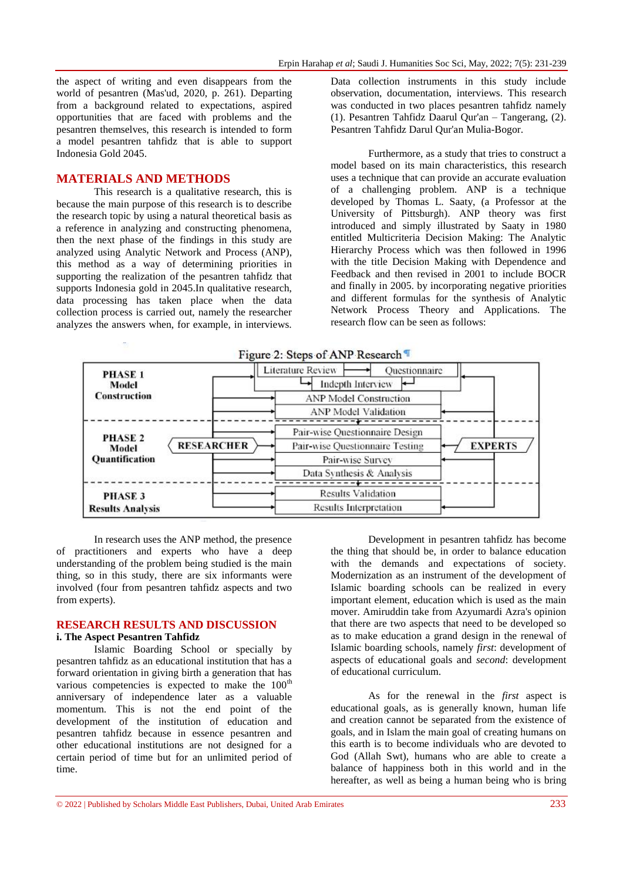the aspect of writing and even disappears from the world of pesantren (Mas'ud, 2020, p. 261). Departing from a background related to expectations, aspired opportunities that are faced with problems and the pesantren themselves, this research is intended to form a model pesantren tahfidz that is able to support Indonesia Gold 2045.

#### **MATERIALS AND METHODS**

This research is a qualitative research, this is because the main purpose of this research is to describe the research topic by using a natural theoretical basis as a reference in analyzing and constructing phenomena, then the next phase of the findings in this study are analyzed using Analytic Network and Process (ANP), this method as a way of determining priorities in supporting the realization of the pesantren tahfidz that supports Indonesia gold in 2045.In qualitative research, data processing has taken place when the data collection process is carried out, namely the researcher analyzes the answers when, for example, in interviews. Data collection instruments in this study include observation, documentation, interviews. This research was conducted in two places pesantren tahfidz namely (1). Pesantren Tahfidz Daarul Qur'an – Tangerang, (2). Pesantren Tahfidz Darul Qur'an Mulia-Bogor.

Furthermore, as a study that tries to construct a model based on its main characteristics, this research uses a technique that can provide an accurate evaluation of a challenging problem. ANP is a technique developed by Thomas L. Saaty, (a Professor at the University of Pittsburgh). ANP theory was first introduced and simply illustrated by Saaty in 1980 entitled Multicriteria Decision Making: The Analytic Hierarchy Process which was then followed in 1996 with the title Decision Making with Dependence and Feedback and then revised in 2001 to include BOCR and finally in 2005. by incorporating negative priorities and different formulas for the synthesis of Analytic Network Process Theory and Applications. The research flow can be seen as follows:



In research uses the ANP method, the presence of practitioners and experts who have a deep understanding of the problem being studied is the main thing, so in this study, there are six informants were involved (four from pesantren tahfidz aspects and two from experts).

# **RESEARCH RESULTS AND DISCUSSION**

## **i. The Aspect Pesantren Tahfidz**

Islamic Boarding School or specially by pesantren tahfidz as an educational institution that has a forward orientation in giving birth a generation that has various competencies is expected to make the  $100<sup>th</sup>$ anniversary of independence later as a valuable momentum. This is not the end point of the development of the institution of education and pesantren tahfidz because in essence pesantren and other educational institutions are not designed for a certain period of time but for an unlimited period of time.

Development in pesantren tahfidz has become the thing that should be, in order to balance education with the demands and expectations of society. Modernization as an instrument of the development of Islamic boarding schools can be realized in every important element, education which is used as the main mover. Amiruddin take from Azyumardi Azra's opinion that there are two aspects that need to be developed so as to make education a grand design in the renewal of Islamic boarding schools, namely *first*: development of aspects of educational goals and *second*: development of educational curriculum.

As for the renewal in the *first* aspect is educational goals, as is generally known, human life and creation cannot be separated from the existence of goals, and in Islam the main goal of creating humans on this earth is to become individuals who are devoted to God (Allah Swt), humans who are able to create a balance of happiness both in this world and in the hereafter, as well as being a human being who is bring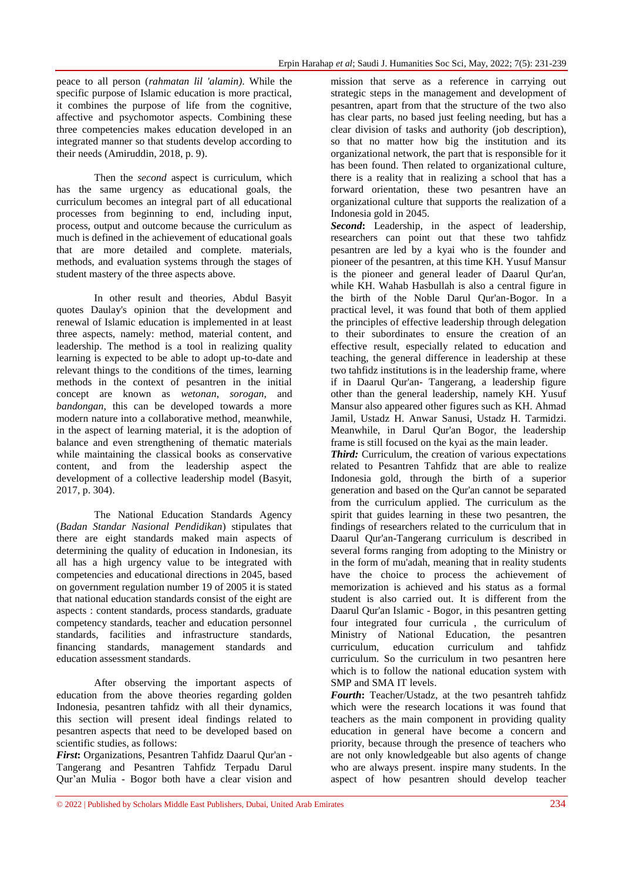peace to all person (*rahmatan lil 'alamin)*. While the specific purpose of Islamic education is more practical, it combines the purpose of life from the cognitive, affective and psychomotor aspects. Combining these three competencies makes education developed in an integrated manner so that students develop according to their needs (Amiruddin, 2018, p. 9).

Then the *second* aspect is curriculum, which has the same urgency as educational goals, the curriculum becomes an integral part of all educational processes from beginning to end, including input, process, output and outcome because the curriculum as much is defined in the achievement of educational goals that are more detailed and complete. materials, methods, and evaluation systems through the stages of student mastery of the three aspects above.

In other result and theories, Abdul Basyit quotes Daulay's opinion that the development and renewal of Islamic education is implemented in at least three aspects, namely: method, material content, and leadership. The method is a tool in realizing quality learning is expected to be able to adopt up-to-date and relevant things to the conditions of the times, learning methods in the context of pesantren in the initial concept are known as *wetonan*, *sorogan*, and *bandongan*, this can be developed towards a more modern nature into a collaborative method, meanwhile, in the aspect of learning material, it is the adoption of balance and even strengthening of thematic materials while maintaining the classical books as conservative content, and from the leadership aspect the development of a collective leadership model (Basyit, 2017, p. 304).

The National Education Standards Agency (*Badan Standar Nasional Pendidikan*) stipulates that there are eight standards maked main aspects of determining the quality of education in Indonesian, its all has a high urgency value to be integrated with competencies and educational directions in 2045, based on government regulation number 19 of 2005 it is stated that national education standards consist of the eight are aspects : content standards, process standards, graduate competency standards, teacher and education personnel standards, facilities and infrastructure standards, financing standards, management standards and education assessment standards.

After observing the important aspects of education from the above theories regarding golden Indonesia, pesantren tahfidz with all their dynamics, this section will present ideal findings related to pesantren aspects that need to be developed based on scientific studies, as follows:

*First***:** Organizations, Pesantren Tahfidz Daarul Qur'an - Tangerang and Pesantren Tahfidz Terpadu Darul Qur'an Mulia - Bogor both have a clear vision and mission that serve as a reference in carrying out strategic steps in the management and development of pesantren, apart from that the structure of the two also has clear parts, no based just feeling needing, but has a clear division of tasks and authority (job description), so that no matter how big the institution and its organizational network, the part that is responsible for it has been found. Then related to organizational culture, there is a reality that in realizing a school that has a forward orientation, these two pesantren have an organizational culture that supports the realization of a Indonesia gold in 2045.

*Second***:** Leadership, in the aspect of leadership, researchers can point out that these two tahfidz pesantren are led by a kyai who is the founder and pioneer of the pesantren, at this time KH. Yusuf Mansur is the pioneer and general leader of Daarul Qur'an, while KH. Wahab Hasbullah is also a central figure in the birth of the Noble Darul Qur'an-Bogor. In a practical level, it was found that both of them applied the principles of effective leadership through delegation to their subordinates to ensure the creation of an effective result, especially related to education and teaching, the general difference in leadership at these two tahfidz institutions is in the leadership frame, where if in Daarul Qur'an- Tangerang, a leadership figure other than the general leadership, namely KH. Yusuf Mansur also appeared other figures such as KH. Ahmad Jamil, Ustadz H. Anwar Sanusi, Ustadz H. Tarmidzi. Meanwhile, in Darul Qur'an Bogor, the leadership frame is still focused on the kyai as the main leader.

*Third:* Curriculum, the creation of various expectations related to Pesantren Tahfidz that are able to realize Indonesia gold, through the birth of a superior generation and based on the Qur'an cannot be separated from the curriculum applied. The curriculum as the spirit that guides learning in these two pesantren, the findings of researchers related to the curriculum that in Daarul Qur'an-Tangerang curriculum is described in several forms ranging from adopting to the Ministry or in the form of mu'adah, meaning that in reality students have the choice to process the achievement of memorization is achieved and his status as a formal student is also carried out. It is different from the Daarul Qur'an Islamic - Bogor, in this pesantren getting four integrated four curricula , the curriculum of Ministry of National Education, the pesantren curriculum, education curriculum and tahfidz curriculum. So the curriculum in two pesantren here which is to follow the national education system with SMP and SMA IT levels.

*Fourth***:** Teacher/Ustadz, at the two pesantreh tahfidz which were the research locations it was found that teachers as the main component in providing quality education in general have become a concern and priority, because through the presence of teachers who are not only knowledgeable but also agents of change who are always present. inspire many students. In the aspect of how pesantren should develop teacher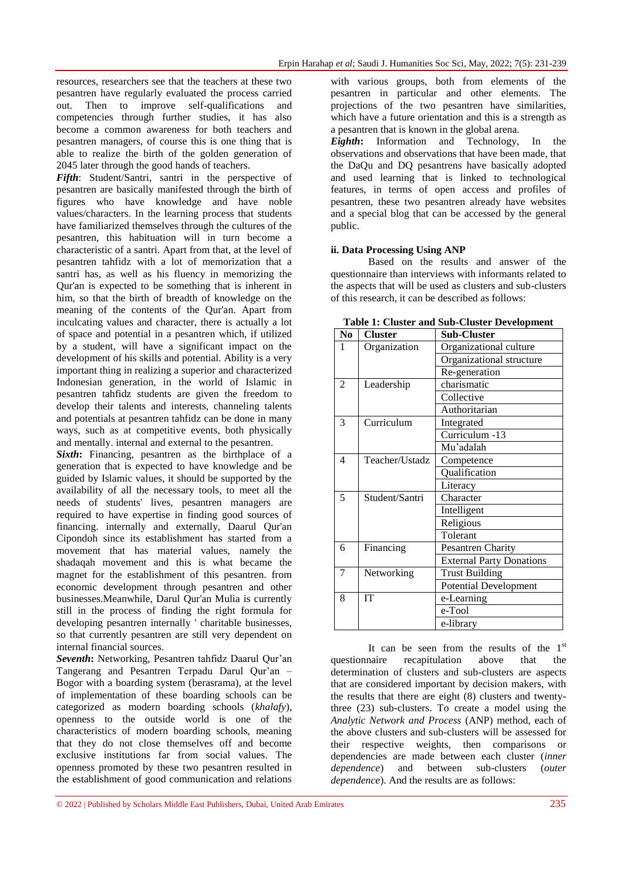resources, researchers see that the teachers at these two pesantren have regularly evaluated the process carried out. Then to improve self-qualifications and competencies through further studies, it has also become a common awareness for both teachers and pesantren managers, of course this is one thing that is able to realize the birth of the golden generation of 2045 later through the good hands of teachers.

*Fifth*: Student/Santri, santri in the perspective of pesantren are basically manifested through the birth of figures who have knowledge and have noble values/characters. In the learning process that students have familiarized themselves through the cultures of the pesantren, this habituation will in turn become a characteristic of a santri. Apart from that, at the level of pesantren tahfidz with a lot of memorization that a santri has, as well as his fluency in memorizing the Qur'an is expected to be something that is inherent in him, so that the birth of breadth of knowledge on the meaning of the contents of the Qur'an. Apart from inculcating values and character, there is actually a lot of space and potential in a pesantren which, if utilized by a student, will have a significant impact on the development of his skills and potential. Ability is a very important thing in realizing a superior and characterized Indonesian generation, in the world of Islamic in pesantren tahfidz students are given the freedom to develop their talents and interests, channeling talents and potentials at pesantren tahfidz can be done in many ways, such as at competitive events, both physically and mentally. internal and external to the pesantren.

*Sixth***:** Financing, pesantren as the birthplace of a generation that is expected to have knowledge and be guided by Islamic values, it should be supported by the availability of all the necessary tools, to meet all the needs of students' lives, pesantren managers are required to have expertise in finding good sources of financing. internally and externally, Daarul Qur'an Cipondoh since its establishment has started from a movement that has material values, namely the shadaqah movement and this is what became the magnet for the establishment of this pesantren. from economic development through pesantren and other businesses.Meanwhile, Darul Qur'an Mulia is currently still in the process of finding the right formula for developing pesantren internally ' charitable businesses, so that currently pesantren are still very dependent on internal financial sources.

*Seventh***:** Networking, Pesantren tahfidz Daarul Qur'an Tangerang and Pesantren Terpadu Darul Qur'an – Bogor with a boarding system (berasrama), at the level of implementation of these boarding schools can be categorized as modern boarding schools (*khalafy*), openness to the outside world is one of the characteristics of modern boarding schools, meaning that they do not close themselves off and become exclusive institutions far from social values. The openness promoted by these two pesantren resulted in the establishment of good communication and relations

with various groups, both from elements of the pesantren in particular and other elements. The projections of the two pesantren have similarities, which have a future orientation and this is a strength as a pesantren that is known in the global arena.

*Eighth***:** Information and Technology, In the observations and observations that have been made, that the DaQu and DQ pesantrens have basically adopted and used learning that is linked to technological features, in terms of open access and profiles of pesantren, these two pesantren already have websites and a special blog that can be accessed by the general public.

#### **ii. Data Processing Using ANP**

Based on the results and answer of the questionnaire than interviews with informants related to the aspects that will be used as clusters and sub-clusters of this research, it can be described as follows:

| N <sub>0</sub>           | <b>Cluster</b> | Sub-Cluster                     |  |
|--------------------------|----------------|---------------------------------|--|
| 1                        | Organization   | Organizational culture          |  |
|                          |                | Organizational structure        |  |
|                          |                | Re-generation                   |  |
| $\overline{2}$           | Leadership     | charismatic                     |  |
|                          |                | Collective                      |  |
|                          |                | Authoritarian                   |  |
| 3                        | Curriculum     | Integrated                      |  |
|                          |                | Curriculum -13                  |  |
|                          |                | Mu'adalah                       |  |
| $\overline{\mathcal{A}}$ | Teacher/Ustadz | Competence                      |  |
|                          |                | Qualification                   |  |
|                          |                | Literacy                        |  |
| 5                        | Student/Santri | Character                       |  |
|                          |                | Intelligent                     |  |
|                          |                | Religious                       |  |
|                          |                | Tolerant                        |  |
| 6                        | Financing      | Pesantren Charity               |  |
|                          |                | <b>External Party Donations</b> |  |
| 7                        | Networking     | <b>Trust Building</b>           |  |
|                          |                | <b>Potential Development</b>    |  |
| 8                        | <b>IT</b>      | e-Learning                      |  |
|                          |                | e-Tool                          |  |
|                          |                | e-library                       |  |

**Table 1: Cluster and Sub-Cluster Development**

It can be seen from the results of the  $1<sup>st</sup>$ questionnaire recapitulation above that the determination of clusters and sub-clusters are aspects that are considered important by decision makers, with the results that there are eight (8) clusters and twentythree (23) sub-clusters. To create a model using the *Analytic Network and Process* (ANP) method, each of the above clusters and sub-clusters will be assessed for their respective weights, then comparisons or dependencies are made between each cluster (*inner dependence*) and between sub-clusters (*outer dependence*). And the results are as follows: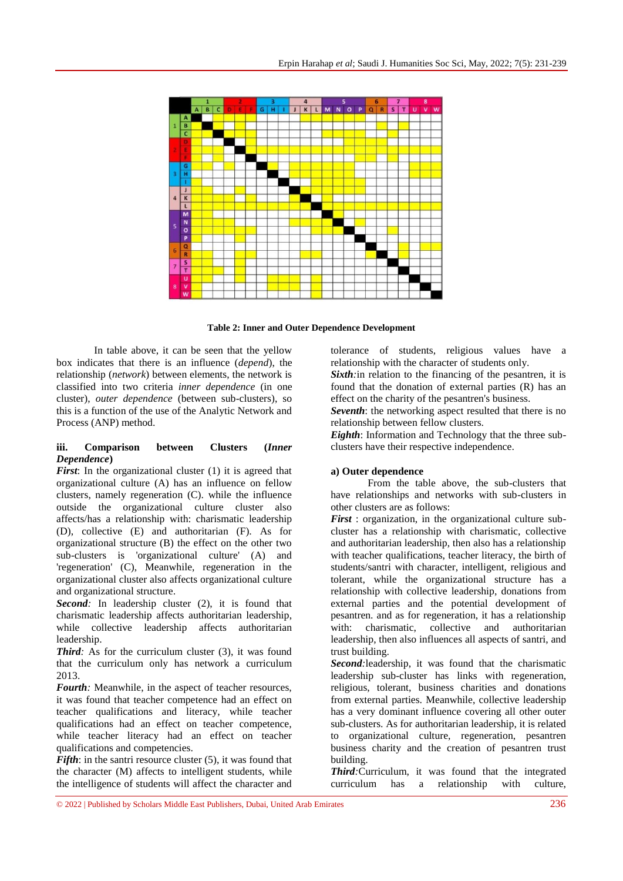

**Table 2: Inner and Outer Dependence Development**

In table above, it can be seen that the yellow box indicates that there is an influence (*depend*), the relationship (*network*) between elements, the network is classified into two criteria *inner dependence* (in one cluster), *outer dependence* (between sub-clusters), so this is a function of the use of the Analytic Network and Process (ANP) method.

#### **iii. Comparison between Clusters (***Inner Dependence***)**

*First*: In the organizational cluster (1) it is agreed that organizational culture (A) has an influence on fellow clusters, namely regeneration (C). while the influence outside the organizational culture cluster also affects/has a relationship with: charismatic leadership (D), collective (E) and authoritarian (F). As for organizational structure (B) the effect on the other two sub-clusters is 'organizational culture' (A) and 'regeneration' (C), Meanwhile, regeneration in the organizational cluster also affects organizational culture and organizational structure.

**Second**: In leadership cluster (2), it is found that charismatic leadership affects authoritarian leadership, while collective leadership affects authoritarian leadership.

*Third*: As for the curriculum cluster (3), it was found that the curriculum only has network a curriculum 2013.

*Fourth:* Meanwhile, in the aspect of teacher resources, it was found that teacher competence had an effect on teacher qualifications and literacy, while teacher qualifications had an effect on teacher competence, while teacher literacy had an effect on teacher qualifications and competencies.

*Fifth*: in the santri resource cluster (5), it was found that the character (M) affects to intelligent students, while the intelligence of students will affect the character and

tolerance of students, religious values have a relationship with the character of students only.

*Sixth:* in relation to the financing of the pesantren, it is found that the donation of external parties (R) has an effect on the charity of the pesantren's business.

*Seventh*: the networking aspect resulted that there is no relationship between fellow clusters.

*Eighth*: Information and Technology that the three subclusters have their respective independence.

#### **a) Outer dependence**

From the table above, the sub-clusters that have relationships and networks with sub-clusters in other clusters are as follows:

*First* : organization, in the organizational culture subcluster has a relationship with charismatic, collective and authoritarian leadership, then also has a relationship with teacher qualifications, teacher literacy, the birth of students/santri with character, intelligent, religious and tolerant, while the organizational structure has a relationship with collective leadership, donations from external parties and the potential development of pesantren. and as for regeneration, it has a relationship with: charismatic, collective and authoritarian leadership, then also influences all aspects of santri, and trust building.

*Second:*leadership, it was found that the charismatic leadership sub-cluster has links with regeneration, religious, tolerant, business charities and donations from external parties. Meanwhile, collective leadership has a very dominant influence covering all other outer sub-clusters. As for authoritarian leadership, it is related to organizational culture, regeneration, pesantren business charity and the creation of pesantren trust building.

*Third:*Curriculum, it was found that the integrated curriculum has a relationship with culture,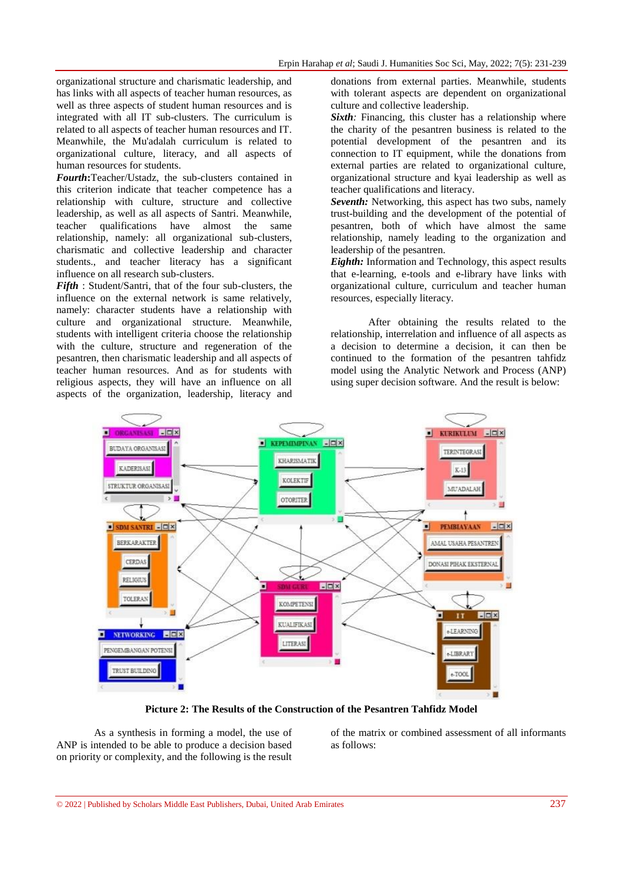organizational structure and charismatic leadership, and has links with all aspects of teacher human resources, as well as three aspects of student human resources and is integrated with all IT sub-clusters. The curriculum is related to all aspects of teacher human resources and IT. Meanwhile, the Mu'adalah curriculum is related to organizational culture, literacy, and all aspects of human resources for students.

*Fourth***:**Teacher/Ustadz, the sub-clusters contained in this criterion indicate that teacher competence has a relationship with culture, structure and collective leadership, as well as all aspects of Santri. Meanwhile, teacher qualifications have almost the same relationship, namely: all organizational sub-clusters, charismatic and collective leadership and character students., and teacher literacy has a significant influence on all research sub-clusters.

*Fifth* : Student/Santri, that of the four sub-clusters, the influence on the external network is same relatively, namely: character students have a relationship with culture and organizational structure. Meanwhile, students with intelligent criteria choose the relationship with the culture, structure and regeneration of the pesantren, then charismatic leadership and all aspects of teacher human resources. And as for students with religious aspects, they will have an influence on all aspects of the organization, leadership, literacy and

donations from external parties. Meanwhile, students with tolerant aspects are dependent on organizational culture and collective leadership.

*Sixth*: Financing, this cluster has a relationship where the charity of the pesantren business is related to the potential development of the pesantren and its connection to IT equipment, while the donations from external parties are related to organizational culture, organizational structure and kyai leadership as well as teacher qualifications and literacy.

*Seventh:* Networking, this aspect has two subs, namely trust-building and the development of the potential of pesantren, both of which have almost the same relationship, namely leading to the organization and leadership of the pesantren.

*Eighth:* Information and Technology, this aspect results that e-learning, e-tools and e-library have links with organizational culture, curriculum and teacher human resources, especially literacy.

After obtaining the results related to the relationship, interrelation and influence of all aspects as a decision to determine a decision, it can then be continued to the formation of the pesantren tahfidz model using the Analytic Network and Process (ANP) using super decision software. And the result is below:



**Picture 2: The Results of the Construction of the Pesantren Tahfidz Model**

As a synthesis in forming a model, the use of ANP is intended to be able to produce a decision based on priority or complexity, and the following is the result of the matrix or combined assessment of all informants as follows: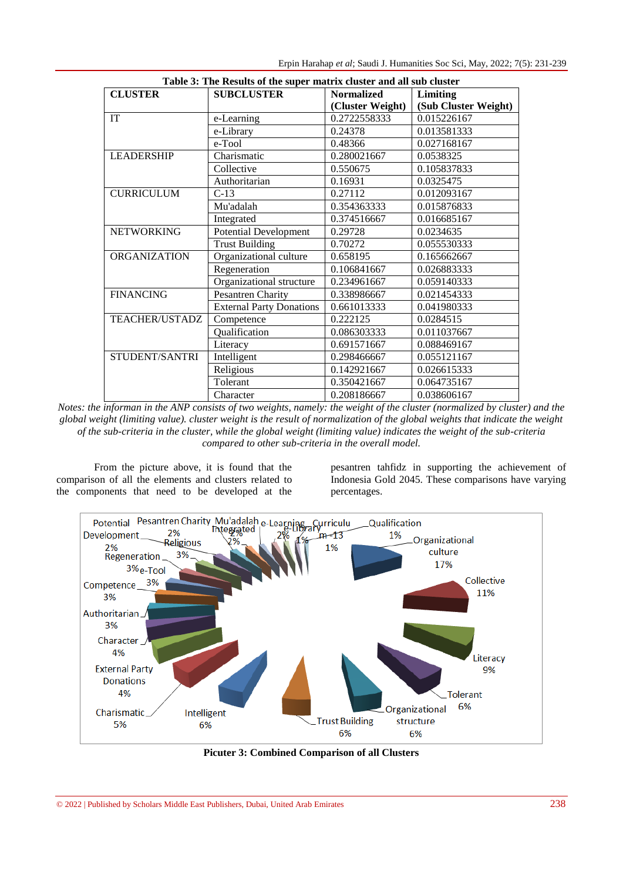| Table 3: The Results of the super matrix cluster and all sub cluster |                                 |                   |                      |  |
|----------------------------------------------------------------------|---------------------------------|-------------------|----------------------|--|
| <b>CLUSTER</b>                                                       | <b>SUBCLUSTER</b>               | <b>Normalized</b> | Limiting             |  |
|                                                                      |                                 | (Cluster Weight)  | (Sub Cluster Weight) |  |
| IT                                                                   | e-Learning                      | 0.2722558333      | 0.015226167          |  |
|                                                                      | e-Library                       | 0.24378           | 0.013581333          |  |
|                                                                      | e-Tool                          | 0.48366           | 0.027168167          |  |
| <b>LEADERSHIP</b>                                                    | Charismatic                     | 0.280021667       | 0.0538325            |  |
|                                                                      | Collective                      | 0.550675          | 0.105837833          |  |
|                                                                      | Authoritarian                   | 0.16931           | 0.0325475            |  |
| <b>CURRICULUM</b>                                                    | $C-13$                          | 0.27112           | 0.012093167          |  |
|                                                                      | Mu'adalah                       | 0.354363333       | 0.015876833          |  |
|                                                                      | Integrated                      | 0.374516667       | 0.016685167          |  |
| <b>NETWORKING</b>                                                    | <b>Potential Development</b>    | 0.29728           | 0.0234635            |  |
|                                                                      | <b>Trust Building</b>           | 0.70272           | 0.055530333          |  |
| <b>ORGANIZATION</b>                                                  | Organizational culture          | 0.658195          | 0.165662667          |  |
|                                                                      | Regeneration                    | 0.106841667       | 0.026883333          |  |
|                                                                      | Organizational structure        | 0.234961667       | 0.059140333          |  |
| <b>FINANCING</b>                                                     | Pesantren Charity               | 0.338986667       | 0.021454333          |  |
|                                                                      | <b>External Party Donations</b> | 0.661013333       | 0.041980333          |  |
| <b>TEACHER/USTADZ</b>                                                | Competence                      | 0.222125          | 0.0284515            |  |
|                                                                      | Qualification                   | 0.086303333       | 0.011037667          |  |
|                                                                      | Literacy                        | 0.691571667       | 0.088469167          |  |
| STUDENT/SANTRI                                                       | Intelligent                     | 0.298466667       | 0.055121167          |  |
|                                                                      | Religious                       | 0.142921667       | 0.026615333          |  |
|                                                                      | Tolerant                        | 0.350421667       | 0.064735167          |  |
|                                                                      | Character                       | 0.208186667       | 0.038606167          |  |

*Notes: the informan in the ANP consists of two weights, namely: the weight of the cluster (normalized by cluster) and the global weight (limiting value). cluster weight is the result of normalization of the global weights that indicate the weight of the sub-criteria in the cluster, while the global weight (limiting value) indicates the weight of the sub-criteria compared to other sub-criteria in the overall model.*

From the picture above, it is found that the comparison of all the elements and clusters related to the components that need to be developed at the

pesantren tahfidz in supporting the achievement of Indonesia Gold 2045. These comparisons have varying percentages.



**Picuter 3: Combined Comparison of all Clusters**